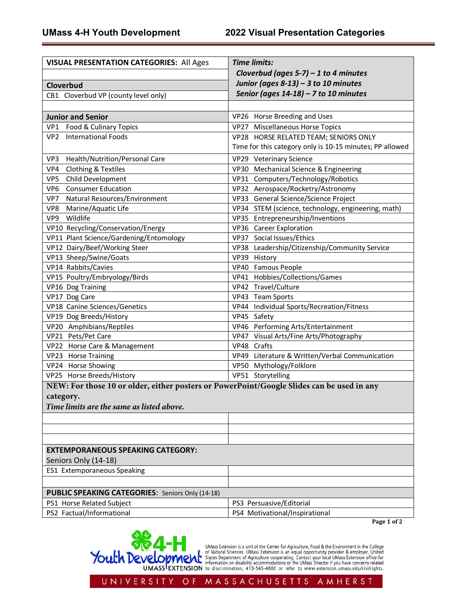| <b>VISUAL PRESENTATION CATEGORIES: All Ages</b>                                           | <b>Time limits:</b>                                      |
|-------------------------------------------------------------------------------------------|----------------------------------------------------------|
|                                                                                           | Cloverbud (ages $5-7$ ) – 1 to 4 minutes                 |
| Cloverbud                                                                                 | Junior (ages 8-13) - 3 to 10 minutes                     |
| CB1 Cloverbud VP (county level only)                                                      | Senior (ages $14-18$ ) – 7 to 10 minutes                 |
|                                                                                           |                                                          |
| <b>Junior and Senior</b>                                                                  | VP26 Horse Breeding and Uses                             |
| VP1 Food & Culinary Topics                                                                | VP27 Miscellaneous Horse Topics                          |
| VP2 International Foods                                                                   | VP28 HORSE RELATED TEAM; SENIORS ONLY                    |
|                                                                                           | Time for this category only is 10-15 minutes; PP allowed |
| Health/Nutrition/Personal Care<br>VP3                                                     | VP29 Veterinary Science                                  |
| <b>Clothing &amp; Textiles</b><br>VP4                                                     | VP30 Mechanical Science & Engineering                    |
| Child Development<br>VP5                                                                  | VP31 Computers/Technology/Robotics                       |
| VP6 Consumer Education                                                                    | VP32 Aerospace/Rocketry/Astronomy                        |
| VP7<br>Natural Resources/Environment                                                      | VP33 General Science/Science Project                     |
| VP8 Marine/Aquatic Life                                                                   | VP34 STEM (science, technology, engineering, math)       |
| VP9 Wildlife                                                                              | VP35 Entrepreneurship/Inventions                         |
| VP10 Recycling/Conservation/Energy                                                        | VP36 Career Exploration                                  |
| VP11 Plant Science/Gardening/Entomology                                                   | VP37 Social Issues/Ethics                                |
| VP12 Dairy/Beef/Working Steer                                                             | VP38 Leadership/Citizenship/Community Service            |
| VP13 Sheep/Swine/Goats                                                                    | VP39 History                                             |
| VP14 Rabbits/Cavies                                                                       | VP40 Famous People                                       |
| VP15 Poultry/Embryology/Birds                                                             | VP41 Hobbies/Collections/Games                           |
| VP16 Dog Training                                                                         | VP42 Travel/Culture                                      |
| VP17 Dog Care                                                                             | VP43 Team Sports                                         |
| VP18 Canine Sciences/Genetics                                                             | VP44 Individual Sports/Recreation/Fitness                |
| VP19 Dog Breeds/History                                                                   | VP45 Safety                                              |
| VP20 Amphibians/Reptiles                                                                  | VP46 Performing Arts/Entertainment                       |
| VP21 Pets/Pet Care                                                                        | VP47 Visual Arts/Fine Arts/Photography                   |
| VP22 Horse Care & Management                                                              | VP48 Crafts                                              |
| VP23 Horse Training                                                                       | VP49 Literature & Written/Verbal Communication           |
| VP24 Horse Showing                                                                        | VP50 Mythology/Folklore                                  |
| VP25 Horse Breeds/History                                                                 | VP51 Storytelling                                        |
| NEW: For those 10 or older, either posters or PowerPoint/Google Slides can be used in any |                                                          |
| category.                                                                                 |                                                          |
| Time limits are the same as listed above.                                                 |                                                          |
|                                                                                           |                                                          |
|                                                                                           |                                                          |
|                                                                                           |                                                          |
| <b>EXTEMPORANEOUS SPEAKING CATEGORY:</b>                                                  |                                                          |
| Seniors Only (14-18)                                                                      |                                                          |
| ES1 Extemporaneous Speaking                                                               |                                                          |
|                                                                                           |                                                          |
| PUBLIC SPEAKING CATEGORIES: Seniors Only (14-18)                                          |                                                          |
| PS1 Horse Related Subject                                                                 | PS3 Persuasive/Editorial                                 |
| PS2 Factual/Informational                                                                 | PS4 Motivational/Inspirational<br>Page 1 of 2            |